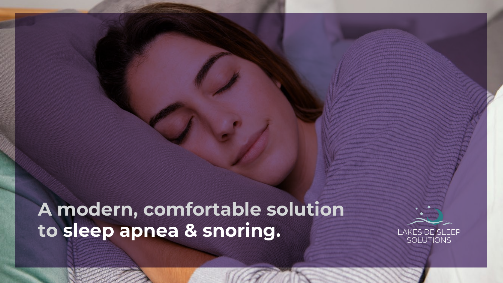# **A modern, comfortable solution to sleep apnea & snoring.**

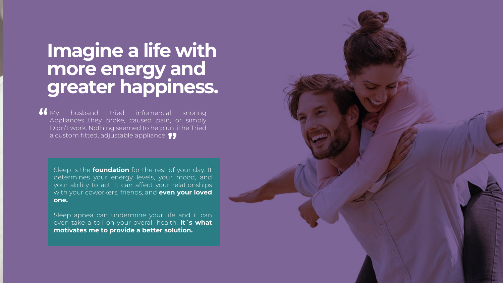### **Imagine a life with more energy and greater happiness.**

husband tried infomercial snoring Appliances…they broke, caused pain, or simply Didn't work. Nothing seemed to help until he Tried a custom fitted, adjustable appliance. **"** $\mathbf{U}$  My

Sleep is the **foundation** for the rest of your day. It determines your energy levels, your mood, and your ability to act. It can affect your relationships with your coworkers, friends, and **even your loved one.**

Sleep apnea can undermine your life and it can even take a toll on your overall health. **It´s what motivates me to provide a better solution.**

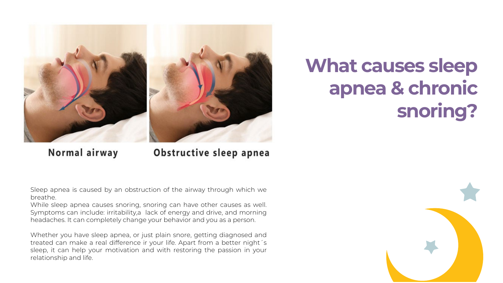

# **What causes sleep apnea & chronic snoring?**

Normal airway

#### Obstructive sleep apnea

Sleep apnea is caused by an obstruction of the airway through which we breathe.

While sleep apnea causes snoring, snoring can have other causes as well. Symptoms can include: irritability,a lack of energy and drive, and morning headaches. It can completely change your behavior and you as a person.

Whether you have sleep apnea, or just plain snore, getting diagnosed and treated can make a real difference ir your life. Apart from a better night´s sleep, it can help your motivation and with restoring the passion in your relationship and life.

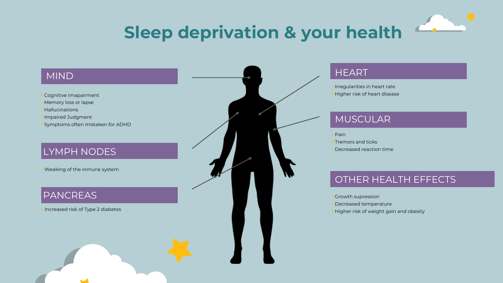

#### MIND

- Cognitive imapairment
- Memory loss or lapse
- Hallucinations
- Impaired Judgment
- Symptoms often mistaken for ADHD

#### LYMPH NODES

Weaking of the inmune system

#### PANCREAS

Increased risk of Type 2 diabetes

#### **HEART**

Irregularities in heart rate Higher risk of heart disease

#### MUSCULAR

- Pain
- $\star$ Tremors and ticks
- Decreased reaction time

#### OTHER HEALTH EFFECTS

- Growth supression
- Decreased temperature
- Higher risk of weight gain and obesity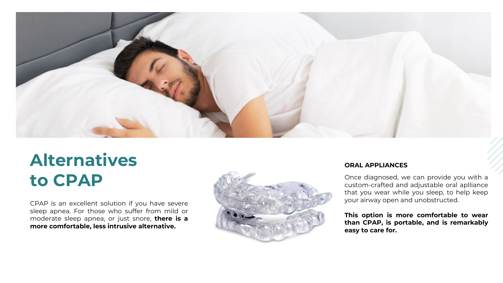

## **Alternatives to CPAP**

CPAP is an excellent solution if you have severe sleep apnea. For those who suffer from mild or moderate sleep apnea, or just snore, **there is a more comfortable, less intrusive alternative.**



#### **ORAL APPLIANCES**

Once diagnosed, we can provide you with a custom-crafted and adjustable oral aplliance that you wear while you sleep, to help keep your airway open and unobstructed.

**This option is more comfortable to wear than CPAP, is portable, and is remarkably easy to care for.**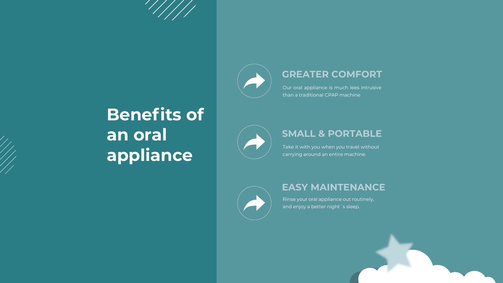

#### **GREATER COMFORT**

Our oral appliance is much lees intrusive than a traditional CPAP machine

# **Benefits of an oral appliance**



#### **SMALL & PORTABLE**

Take it with you when you travel without carrying around an entire machine.



#### **EASY MAINTENANCE**

Rinse your oral appliance out routinely, and enjoy a better night 's sleep.

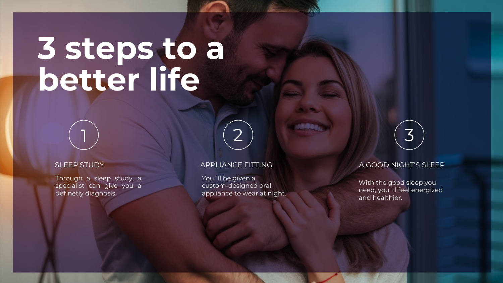# **3 steps to a better life**

Through a sleep study, a specialist can give you a definetly diagnosis.

You´ll be given a custom-designed oral appliance to wear at night.

1 2 3

#### SLEEP STUDY APPLIANCE FITTING A GOOD NIGHT'S SLEEP

With the good sleep you need, you´ll feel energized and healthier.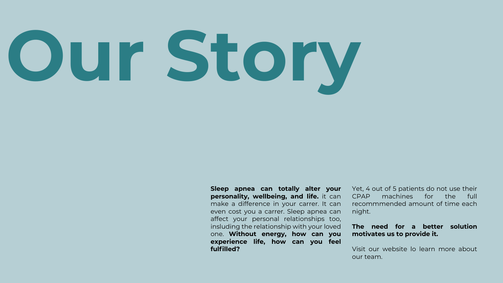# **Our Story**

**Sleep apnea can totally alter your personality, wellbeing, and life.** it can make a difference in your carrer. It can even cost you a carrer. Sleep apnea can affect your personal relationships too, insluding the relationship with your loved one. **Without energy, how can you experience life, how can you feel fulfilled?**

Yet, 4 out of 5 patients do not use their CPAP machines for the full recommmended amount of time each night.

#### **The need for a better solution motivates us to provide it.**

Visit our website lo learn more about our team.